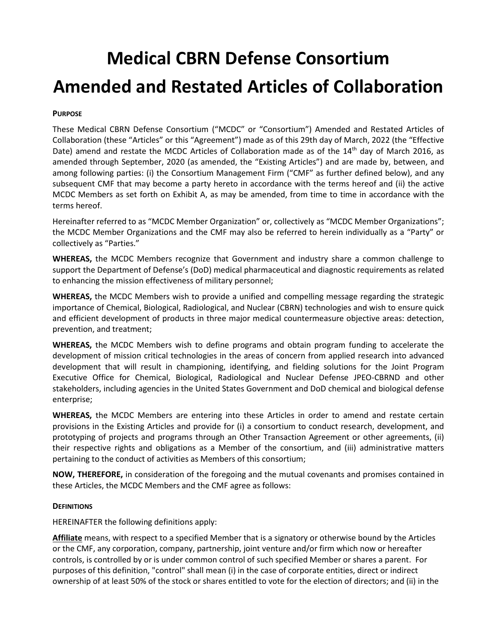# **Medical CBRN Defense Consortium Amended and Restated Articles of Collaboration**

#### **PURPOSE**

These Medical CBRN Defense Consortium ("MCDC" or "Consortium") Amended and Restated Articles of Collaboration (these "Articles" or this "Agreement") made as of this 29th day of March, 2022 (the "Effective Date) amend and restate the MCDC Articles of Collaboration made as of the 14<sup>th</sup> day of March 2016, as amended through September, 2020 (as amended, the "Existing Articles") and are made by, between, and among following parties: (i) the Consortium Management Firm ("CMF" as further defined below), and any subsequent CMF that may become a party hereto in accordance with the terms hereof and (ii) the active MCDC Members as set forth on Exhibit A, as may be amended, from time to time in accordance with the terms hereof.

Hereinafter referred to as "MCDC Member Organization" or, collectively as "MCDC Member Organizations"; the MCDC Member Organizations and the CMF may also be referred to herein individually as a "Party" or collectively as "Parties."

**WHEREAS,** the MCDC Members recognize that Government and industry share a common challenge to support the Department of Defense's (DoD) medical pharmaceutical and diagnostic requirements as related to enhancing the mission effectiveness of military personnel;

**WHEREAS,** the MCDC Members wish to provide a unified and compelling message regarding the strategic importance of Chemical, Biological, Radiological, and Nuclear (CBRN) technologies and wish to ensure quick and efficient development of products in three major medical countermeasure objective areas: detection, prevention, and treatment;

**WHEREAS,** the MCDC Members wish to define programs and obtain program funding to accelerate the development of mission critical technologies in the areas of concern from applied research into advanced development that will result in championing, identifying, and fielding solutions for the Joint Program Executive Office for Chemical, Biological, Radiological and Nuclear Defense JPEO-CBRND and other stakeholders, including agencies in the United States Government and DoD chemical and biological defense enterprise;

**WHEREAS,** the MCDC Members are entering into these Articles in order to amend and restate certain provisions in the Existing Articles and provide for (i) a consortium to conduct research, development, and prototyping of projects and programs through an Other Transaction Agreement or other agreements, (ii) their respective rights and obligations as a Member of the consortium, and (iii) administrative matters pertaining to the conduct of activities as Members of this consortium;

**NOW, THEREFORE,** in consideration of the foregoing and the mutual covenants and promises contained in these Articles, the MCDC Members and the CMF agree as follows:

#### **DEFINITIONS**

HEREINAFTER the following definitions apply:

**Affiliate** means, with respect to a specified Member that is a signatory or otherwise bound by the Articles or the CMF, any corporation, company, partnership, joint venture and/or firm which now or hereafter controls, is controlled by or is under common control of such specified Member or shares a parent. For purposes of this definition, "control" shall mean (i) in the case of corporate entities, direct or indirect ownership of at least 50% of the stock or shares entitled to vote for the election of directors; and (ii) in the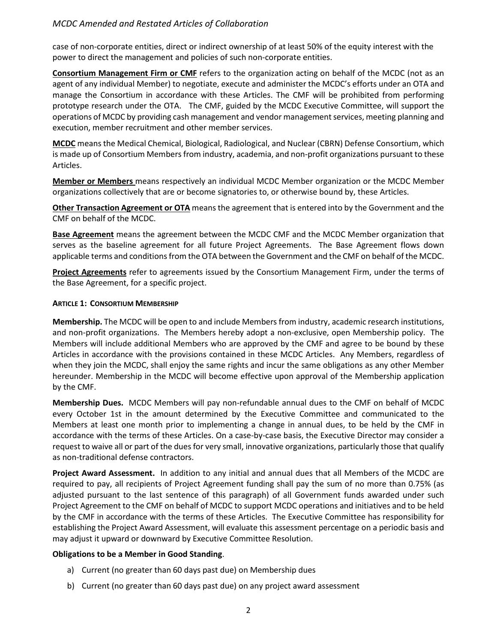case of non-corporate entities, direct or indirect ownership of at least 50% of the equity interest with the power to direct the management and policies of such non-corporate entities.

**Consortium Management Firm or CMF** refers to the organization acting on behalf of the MCDC (not as an agent of any individual Member) to negotiate, execute and administer the MCDC's efforts under an OTA and manage the Consortium in accordance with these Articles. The CMF will be prohibited from performing prototype research under the OTA. The CMF, guided by the MCDC Executive Committee, will support the operations of MCDC by providing cash management and vendor management services, meeting planning and execution, member recruitment and other member services.

**MCDC** means the Medical Chemical, Biological, Radiological, and Nuclear (CBRN) Defense Consortium, which is made up of Consortium Members from industry, academia, and non-profit organizations pursuant to these Articles.

**Member or Members** means respectively an individual MCDC Member organization or the MCDC Member organizations collectively that are or become signatories to, or otherwise bound by, these Articles.

**Other Transaction Agreement or OTA** means the agreement that is entered into by the Government and the CMF on behalf of the MCDC.

**Base Agreement** means the agreement between the MCDC CMF and the MCDC Member organization that serves as the baseline agreement for all future Project Agreements. The Base Agreement flows down applicable terms and conditions from the OTA between the Government and the CMF on behalf of the MCDC.

**Project Agreements** refer to agreements issued by the Consortium Management Firm, under the terms of the Base Agreement, for a specific project.

#### **ARTICLE 1: CONSORTIUM MEMBERSHIP**

**Membership.** The MCDC will be open to and include Members from industry, academic research institutions, and non-profit organizations. The Members hereby adopt a non-exclusive, open Membership policy. The Members will include additional Members who are approved by the CMF and agree to be bound by these Articles in accordance with the provisions contained in these MCDC Articles. Any Members, regardless of when they join the MCDC, shall enjoy the same rights and incur the same obligations as any other Member hereunder. Membership in the MCDC will become effective upon approval of the Membership application by the CMF.

**Membership Dues.** MCDC Members will pay non-refundable annual dues to the CMF on behalf of MCDC every October 1st in the amount determined by the Executive Committee and communicated to the Members at least one month prior to implementing a change in annual dues, to be held by the CMF in accordance with the terms of these Articles. On a case-by-case basis, the Executive Director may consider a request to waive all or part of the dues for very small, innovative organizations, particularly those that qualify as non-traditional defense contractors.

**Project Award Assessment.** In addition to any initial and annual dues that all Members of the MCDC are required to pay, all recipients of Project Agreement funding shall pay the sum of no more than 0.75% (as adjusted pursuant to the last sentence of this paragraph) of all Government funds awarded under such Project Agreement to the CMF on behalf of MCDC to support MCDC operations and initiatives and to be held by the CMF in accordance with the terms of these Articles. The Executive Committee has responsibility for establishing the Project Award Assessment, will evaluate this assessment percentage on a periodic basis and may adjust it upward or downward by Executive Committee Resolution.

#### **Obligations to be a Member in Good Standing**.

- a) Current (no greater than 60 days past due) on Membership dues
- b) Current (no greater than 60 days past due) on any project award assessment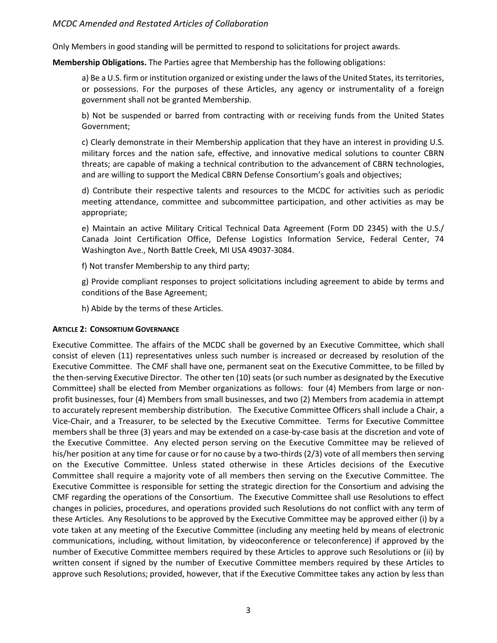Only Members in good standing will be permitted to respond to solicitations for project awards.

**Membership Obligations.** The Parties agree that Membership has the following obligations:

a) Be a U.S. firm or institution organized or existing under the laws of the United States, its territories, or possessions. For the purposes of these Articles, any agency or instrumentality of a foreign government shall not be granted Membership.

b) Not be suspended or barred from contracting with or receiving funds from the United States Government;

c) Clearly demonstrate in their Membership application that they have an interest in providing U.S. military forces and the nation safe, effective, and innovative medical solutions to counter CBRN threats; are capable of making a technical contribution to the advancement of CBRN technologies, and are willing to support the Medical CBRN Defense Consortium's goals and objectives;

d) Contribute their respective talents and resources to the MCDC for activities such as periodic meeting attendance, committee and subcommittee participation, and other activities as may be appropriate;

e) Maintain an active Military Critical Technical Data Agreement (Form DD 2345) with the U.S./ Canada Joint Certification Office, Defense Logistics Information Service, Federal Center, 74 Washington Ave., North Battle Creek, MI USA 49037-3084.

f) Not transfer Membership to any third party;

g) Provide compliant responses to project solicitations including agreement to abide by terms and conditions of the Base Agreement;

h) Abide by the terms of these Articles.

#### **ARTICLE 2: CONSORTIUM GOVERNANCE**

Executive Committee. The affairs of the MCDC shall be governed by an Executive Committee, which shall consist of eleven (11) representatives unless such number is increased or decreased by resolution of the Executive Committee. The CMF shall have one, permanent seat on the Executive Committee, to be filled by the then-serving Executive Director. The other ten (10) seats (or such number as designated by the Executive Committee) shall be elected from Member organizations as follows: four (4) Members from large or nonprofit businesses, four (4) Members from small businesses, and two (2) Members from academia in attempt to accurately represent membership distribution. The Executive Committee Officers shall include a Chair, a Vice-Chair, and a Treasurer, to be selected by the Executive Committee. Terms for Executive Committee members shall be three (3) years and may be extended on a case-by-case basis at the discretion and vote of the Executive Committee. Any elected person serving on the Executive Committee may be relieved of his/her position at any time for cause or for no cause by a two-thirds (2/3) vote of all members then serving on the Executive Committee. Unless stated otherwise in these Articles decisions of the Executive Committee shall require a majority vote of all members then serving on the Executive Committee. The Executive Committee is responsible for setting the strategic direction for the Consortium and advising the CMF regarding the operations of the Consortium. The Executive Committee shall use Resolutions to effect changes in policies, procedures, and operations provided such Resolutions do not conflict with any term of these Articles. Any Resolutions to be approved by the Executive Committee may be approved either (i) by a vote taken at any meeting of the Executive Committee (including any meeting held by means of electronic communications, including, without limitation, by videoconference or teleconference) if approved by the number of Executive Committee members required by these Articles to approve such Resolutions or (ii) by written consent if signed by the number of Executive Committee members required by these Articles to approve such Resolutions; provided, however, that if the Executive Committee takes any action by less than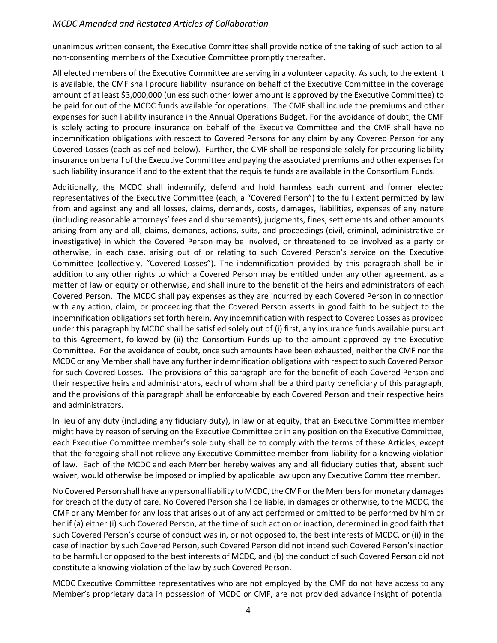unanimous written consent, the Executive Committee shall provide notice of the taking of such action to all non-consenting members of the Executive Committee promptly thereafter.

All elected members of the Executive Committee are serving in a volunteer capacity. As such, to the extent it is available, the CMF shall procure liability insurance on behalf of the Executive Committee in the coverage amount of at least \$3,000,000 (unless such other lower amount is approved by the Executive Committee) to be paid for out of the MCDC funds available for operations. The CMF shall include the premiums and other expenses for such liability insurance in the Annual Operations Budget. For the avoidance of doubt, the CMF is solely acting to procure insurance on behalf of the Executive Committee and the CMF shall have no indemnification obligations with respect to Covered Persons for any claim by any Covered Person for any Covered Losses (each as defined below). Further, the CMF shall be responsible solely for procuring liability insurance on behalf of the Executive Committee and paying the associated premiums and other expenses for such liability insurance if and to the extent that the requisite funds are available in the Consortium Funds.

Additionally, the MCDC shall indemnify, defend and hold harmless each current and former elected representatives of the Executive Committee (each, a "Covered Person") to the full extent permitted by law from and against any and all losses, claims, demands, costs, damages, liabilities, expenses of any nature (including reasonable attorneys' fees and disbursements), judgments, fines, settlements and other amounts arising from any and all, claims, demands, actions, suits, and proceedings (civil, criminal, administrative or investigative) in which the Covered Person may be involved, or threatened to be involved as a party or otherwise, in each case, arising out of or relating to such Covered Person's service on the Executive Committee (collectively, "Covered Losses"). The indemnification provided by this paragraph shall be in addition to any other rights to which a Covered Person may be entitled under any other agreement, as a matter of law or equity or otherwise, and shall inure to the benefit of the heirs and administrators of each Covered Person. The MCDC shall pay expenses as they are incurred by each Covered Person in connection with any action, claim, or proceeding that the Covered Person asserts in good faith to be subject to the indemnification obligations set forth herein. Any indemnification with respect to Covered Losses as provided under this paragraph by MCDC shall be satisfied solely out of (i) first, any insurance funds available pursuant to this Agreement, followed by (ii) the Consortium Funds up to the amount approved by the Executive Committee. For the avoidance of doubt, once such amounts have been exhausted, neither the CMF nor the MCDC or any Member shall have any further indemnification obligations with respect to such Covered Person for such Covered Losses. The provisions of this paragraph are for the benefit of each Covered Person and their respective heirs and administrators, each of whom shall be a third party beneficiary of this paragraph, and the provisions of this paragraph shall be enforceable by each Covered Person and their respective heirs and administrators.

In lieu of any duty (including any fiduciary duty), in law or at equity, that an Executive Committee member might have by reason of serving on the Executive Committee or in any position on the Executive Committee, each Executive Committee member's sole duty shall be to comply with the terms of these Articles, except that the foregoing shall not relieve any Executive Committee member from liability for a knowing violation of law. Each of the MCDC and each Member hereby waives any and all fiduciary duties that, absent such waiver, would otherwise be imposed or implied by applicable law upon any Executive Committee member.

No Covered Person shall have any personal liability to MCDC, the CMF or the Membersfor monetary damages for breach of the duty of care. No Covered Person shall be liable, in damages or otherwise, to the MCDC, the CMF or any Member for any loss that arises out of any act performed or omitted to be performed by him or her if (a) either (i) such Covered Person, at the time of such action or inaction, determined in good faith that such Covered Person's course of conduct was in, or not opposed to, the best interests of MCDC, or (ii) in the case of inaction by such Covered Person, such Covered Person did not intend such Covered Person's inaction to be harmful or opposed to the best interests of MCDC, and (b) the conduct of such Covered Person did not constitute a knowing violation of the law by such Covered Person.

MCDC Executive Committee representatives who are not employed by the CMF do not have access to any Member's proprietary data in possession of MCDC or CMF, are not provided advance insight of potential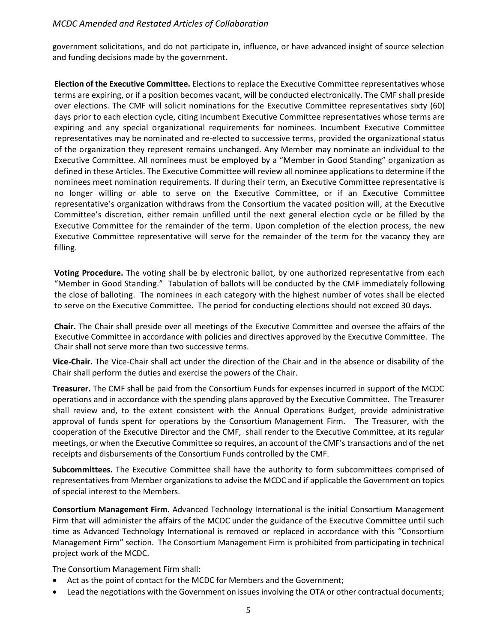government solicitations, and do not participate in, influence, or have advanced insight of source selection and funding decisions made by the government.

**Election of the Executive Committee.** Elections to replace the Executive Committee representatives whose terms are expiring, or if a position becomes vacant, will be conducted electronically. The CMF shall preside over elections. The CMF will solicit nominations for the Executive Committee representatives sixty (60) days prior to each election cycle, citing incumbent Executive Committee representatives whose terms are expiring and any special organizational requirements for nominees. Incumbent Executive Committee representatives may be nominated and re-elected to successive terms, provided the organizational status of the organization they represent remains unchanged. Any Member may nominate an individual to the Executive Committee. All nominees must be employed by a "Member in Good Standing" organization as defined in these Articles. The Executive Committee will review all nominee applications to determine if the nominees meet nomination requirements. If during their term, an Executive Committee representative is no longer willing or able to serve on the Executive Committee, or if an Executive Committee representative's organization withdraws from the Consortium the vacated position will, at the Executive Committee's discretion, either remain unfilled until the next general election cycle or be filled by the Executive Committee for the remainder of the term. Upon completion of the election process, the new Executive Committee representative will serve for the remainder of the term for the vacancy they are filling.

**Voting Procedure.** The voting shall be by electronic ballot, by one authorized representative from each "Member in Good Standing." Tabulation of ballots will be conducted by the CMF immediately following the close of balloting. The nominees in each category with the highest number of votes shall be elected to serve on the Executive Committee. The period for conducting elections should not exceed 30 days.

**Chair.** The Chair shall preside over all meetings of the Executive Committee and oversee the affairs of the Executive Committee in accordance with policies and directives approved by the Executive Committee. The Chair shall not serve more than two successive terms.

**Vice-Chair.** The Vice-Chair shall act under the direction of the Chair and in the absence or disability of the Chair shall perform the duties and exercise the powers of the Chair.

**Treasurer.** The CMF shall be paid from the Consortium Funds for expenses incurred in support of the MCDC operations and in accordance with the spending plans approved by the Executive Committee. The Treasurer shall review and, to the extent consistent with the Annual Operations Budget, provide administrative approval of funds spent for operations by the Consortium Management Firm. The Treasurer, with the cooperation of the Executive Director and the CMF, shall render to the Executive Committee, at its regular meetings, or when the Executive Committee so requires, an account of the CMF's transactions and of the net receipts and disbursements of the Consortium Funds controlled by the CMF.

**Subcommittees.** The Executive Committee shall have the authority to form subcommittees comprised of representatives from Member organizations to advise the MCDC and if applicable the Government on topics of special interest to the Members.

**Consortium Management Firm.** Advanced Technology International is the initial Consortium Management Firm that will administer the affairs of the MCDC under the guidance of the Executive Committee until such time as Advanced Technology International is removed or replaced in accordance with this "Consortium Management Firm" section. The Consortium Management Firm is prohibited from participating in technical project work of the MCDC.

The Consortium Management Firm shall:

- Act as the point of contact for the MCDC for Members and the Government;
- Lead the negotiations with the Government on issues involving the OTA or other contractual documents;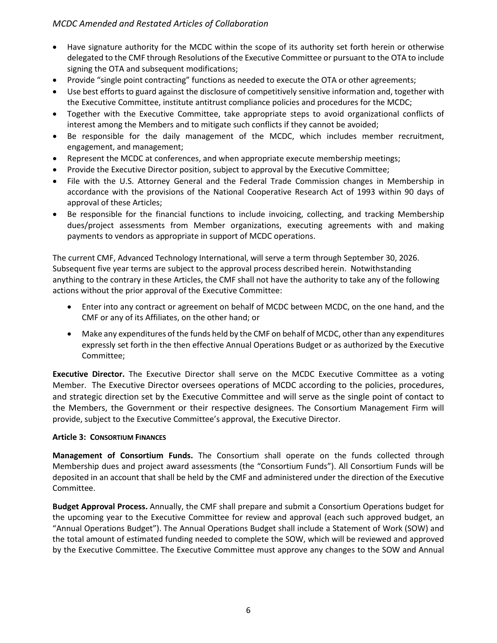- Have signature authority for the MCDC within the scope of its authority set forth herein or otherwise delegated to the CMF through Resolutions of the Executive Committee or pursuant to the OTA to include signing the OTA and subsequent modifications;
- Provide "single point contracting" functions as needed to execute the OTA or other agreements;
- Use best efforts to guard against the disclosure of competitively sensitive information and, together with the Executive Committee, institute antitrust compliance policies and procedures for the MCDC;
- Together with the Executive Committee, take appropriate steps to avoid organizational conflicts of interest among the Members and to mitigate such conflicts if they cannot be avoided;
- Be responsible for the daily management of the MCDC, which includes member recruitment, engagement, and management;
- Represent the MCDC at conferences, and when appropriate execute membership meetings;
- Provide the Executive Director position, subject to approval by the Executive Committee;
- File with the U.S. Attorney General and the Federal Trade Commission changes in Membership in accordance with the provisions of the National Cooperative Research Act of 1993 within 90 days of approval of these Articles;
- Be responsible for the financial functions to include invoicing, collecting, and tracking Membership dues/project assessments from Member organizations, executing agreements with and making payments to vendors as appropriate in support of MCDC operations.

The current CMF, Advanced Technology International, will serve a term through September 30, 2026. Subsequent five year terms are subject to the approval process described herein. Notwithstanding anything to the contrary in these Articles, the CMF shall not have the authority to take any of the following actions without the prior approval of the Executive Committee:

- Enter into any contract or agreement on behalf of MCDC between MCDC, on the one hand, and the CMF or any of its Affiliates, on the other hand; or
- Make any expenditures of the funds held by the CMF on behalf of MCDC, other than any expenditures expressly set forth in the then effective Annual Operations Budget or as authorized by the Executive Committee;

**Executive Director.** The Executive Director shall serve on the MCDC Executive Committee as a voting Member. The Executive Director oversees operations of MCDC according to the policies, procedures, and strategic direction set by the Executive Committee and will serve as the single point of contact to the Members, the Government or their respective designees. The Consortium Management Firm will provide, subject to the Executive Committee's approval, the Executive Director.

## **Article 3: CONSORTIUM FINANCES**

**Management of Consortium Funds.** The Consortium shall operate on the funds collected through Membership dues and project award assessments (the "Consortium Funds"). All Consortium Funds will be deposited in an account that shall be held by the CMF and administered under the direction of the Executive Committee.

**Budget Approval Process.** Annually, the CMF shall prepare and submit a Consortium Operations budget for the upcoming year to the Executive Committee for review and approval (each such approved budget, an "Annual Operations Budget"). The Annual Operations Budget shall include a Statement of Work (SOW) and the total amount of estimated funding needed to complete the SOW, which will be reviewed and approved by the Executive Committee. The Executive Committee must approve any changes to the SOW and Annual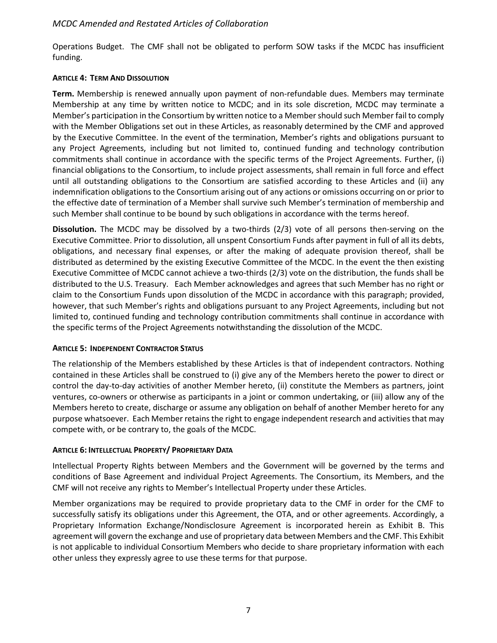Operations Budget. The CMF shall not be obligated to perform SOW tasks if the MCDC has insufficient funding.

#### **ARTICLE 4: TERM AND DISSOLUTION**

**Term.** Membership is renewed annually upon payment of non-refundable dues. Members may terminate Membership at any time by written notice to MCDC; and in its sole discretion, MCDC may terminate a Member's participation in the Consortium by written notice to a Member should such Member fail to comply with the Member Obligations set out in these Articles, as reasonably determined by the CMF and approved by the Executive Committee. In the event of the termination, Member's rights and obligations pursuant to any Project Agreements, including but not limited to, continued funding and technology contribution commitments shall continue in accordance with the specific terms of the Project Agreements. Further, (i) financial obligations to the Consortium, to include project assessments, shall remain in full force and effect until all outstanding obligations to the Consortium are satisfied according to these Articles and (ii) any indemnification obligations to the Consortium arising out of any actions or omissions occurring on or prior to the effective date of termination of a Member shall survive such Member's termination of membership and such Member shall continue to be bound by such obligations in accordance with the terms hereof.

**Dissolution.** The MCDC may be dissolved by a two-thirds (2/3) vote of all persons then-serving on the Executive Committee. Prior to dissolution, all unspent Consortium Funds after payment in full of all its debts, obligations, and necessary final expenses, or after the making of adequate provision thereof, shall be distributed as determined by the existing Executive Committee of the MCDC. In the event the then existing Executive Committee of MCDC cannot achieve a two-thirds (2/3) vote on the distribution, the funds shall be distributed to the U.S. Treasury. Each Member acknowledges and agrees that such Member has no right or claim to the Consortium Funds upon dissolution of the MCDC in accordance with this paragraph; provided, however, that such Member's rights and obligations pursuant to any Project Agreements, including but not limited to, continued funding and technology contribution commitments shall continue in accordance with the specific terms of the Project Agreements notwithstanding the dissolution of the MCDC.

## **ARTICLE 5: INDEPENDENT CONTRACTOR STATUS**

The relationship of the Members established by these Articles is that of independent contractors. Nothing contained in these Articles shall be construed to (i) give any of the Members hereto the power to direct or control the day-to-day activities of another Member hereto, (ii) constitute the Members as partners, joint ventures, co-owners or otherwise as participants in a joint or common undertaking, or (iii) allow any of the Members hereto to create, discharge or assume any obligation on behalf of another Member hereto for any purpose whatsoever. Each Member retains the right to engage independent research and activities that may compete with, or be contrary to, the goals of the MCDC.

#### **ARTICLE 6: INTELLECTUAL PROPERTY/ PROPRIETARY DATA**

Intellectual Property Rights between Members and the Government will be governed by the terms and conditions of Base Agreement and individual Project Agreements. The Consortium, its Members, and the CMF will not receive any rights to Member's Intellectual Property under these Articles.

Member organizations may be required to provide proprietary data to the CMF in order for the CMF to successfully satisfy its obligations under this Agreement, the OTA, and or other agreements. Accordingly, a Proprietary Information Exchange/Nondisclosure Agreement is incorporated herein as Exhibit B. This agreement will govern the exchange and use of proprietary data between Members and the CMF. This Exhibit is not applicable to individual Consortium Members who decide to share proprietary information with each other unless they expressly agree to use these terms for that purpose.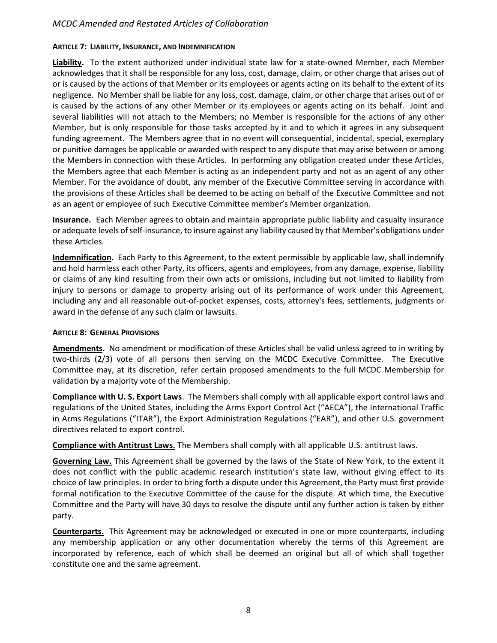#### **ARTICLE 7: LIABILITY, INSURANCE, AND INDEMNIFICATION**

**Liability.** To the extent authorized under individual state law for a state-owned Member, each Member acknowledges that it shall be responsible for any loss, cost, damage, claim, or other charge that arises out of or is caused by the actions of that Member or its employees or agents acting on its behalf to the extent of its negligence. No Member shall be liable for any loss, cost, damage, claim, or other charge that arises out of or is caused by the actions of any other Member or its employees or agents acting on its behalf. Joint and several liabilities will not attach to the Members; no Member is responsible for the actions of any other Member, but is only responsible for those tasks accepted by it and to which it agrees in any subsequent funding agreement. The Members agree that in no event will consequential, incidental, special, exemplary or punitive damages be applicable or awarded with respect to any dispute that may arise between or among the Members in connection with these Articles. In performing any obligation created under these Articles, the Members agree that each Member is acting as an independent party and not as an agent of any other Member. For the avoidance of doubt, any member of the Executive Committee serving in accordance with the provisions of these Articles shall be deemed to be acting on behalf of the Executive Committee and not as an agent or employee of such Executive Committee member's Member organization.

**Insurance.** Each Member agrees to obtain and maintain appropriate public liability and casualty insurance or adequate levels of self-insurance, to insure against any liability caused by that Member's obligations under these Articles.

**Indemnification.** Each Party to this Agreement, to the extent permissible by applicable law, shall indemnify and hold harmless each other Party, its officers, agents and employees, from any damage, expense, liability or claims of any kind resulting from their own acts or omissions, including but not limited to liability from injury to persons or damage to property arising out of its performance of work under this Agreement, including any and all reasonable out-of-pocket expenses, costs, attorney's fees, settlements, judgments or award in the defense of any such claim or lawsuits.

#### **ARTICLE 8: GENERAL PROVISIONS**

**Amendments.** No amendment or modification of these Articles shall be valid unless agreed to in writing by two-thirds (2/3) vote of all persons then serving on the MCDC Executive Committee. The Executive Committee may, at its discretion, refer certain proposed amendments to the full MCDC Membership for validation by a majority vote of the Membership.

**Compliance with U. S. Export Laws**. The Members shall comply with all applicable export control laws and regulations of the United States, including the Arms Export Control Act ("AECA"), the International Traffic in Arms Regulations ("ITAR"), the Export Administration Regulations ("EAR"), and other U.S. government directives related to export control.

**Compliance with Antitrust Laws.** The Members shall comply with all applicable U.S. antitrust laws.

**Governing Law.** This Agreement shall be governed by the laws of the State of New York, to the extent it does not conflict with the public academic research institution's state law, without giving effect to its choice of law principles. In order to bring forth a dispute under this Agreement, the Party must first provide formal notification to the Executive Committee of the cause for the dispute. At which time, the Executive Committee and the Party will have 30 days to resolve the dispute until any further action is taken by either party.

**Counterparts.** This Agreement may be acknowledged or executed in one or more counterparts, including any membership application or any other documentation whereby the terms of this Agreement are incorporated by reference, each of which shall be deemed an original but all of which shall together constitute one and the same agreement.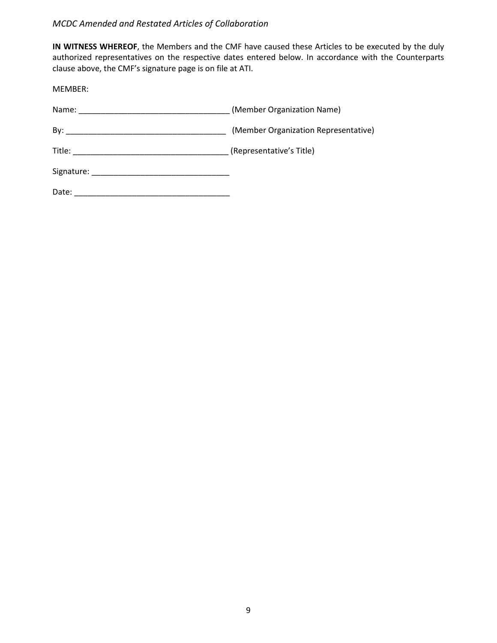**IN WITNESS WHEREOF**, the Members and the CMF have caused these Articles to be executed by the duly authorized representatives on the respective dates entered below. In accordance with the Counterparts clause above, the CMF's signature page is on file at ATI.

MEMBER:

|       | (Member Organization Name)           |
|-------|--------------------------------------|
|       | (Member Organization Representative) |
|       | (Representative's Title)             |
|       |                                      |
| Date: |                                      |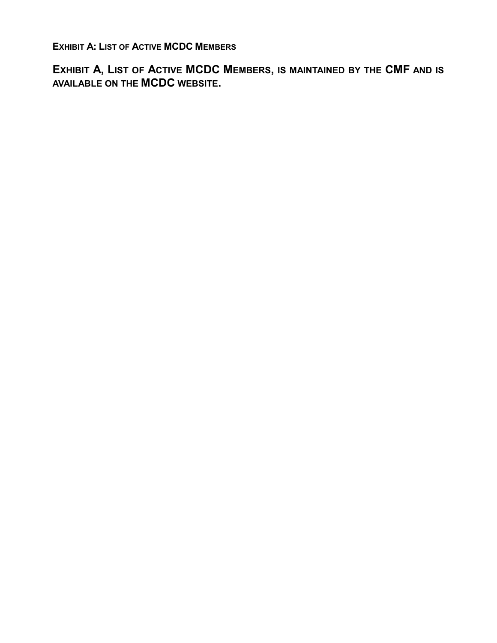**EXHIBIT A: LIST OF ACTIVE MCDC MEMBERS**

**EXHIBIT A, LIST OF ACTIVE MCDC MEMBERS, IS MAINTAINED BY THE CMF AND IS AVAILABLE ON THE MCDC WEBSITE.**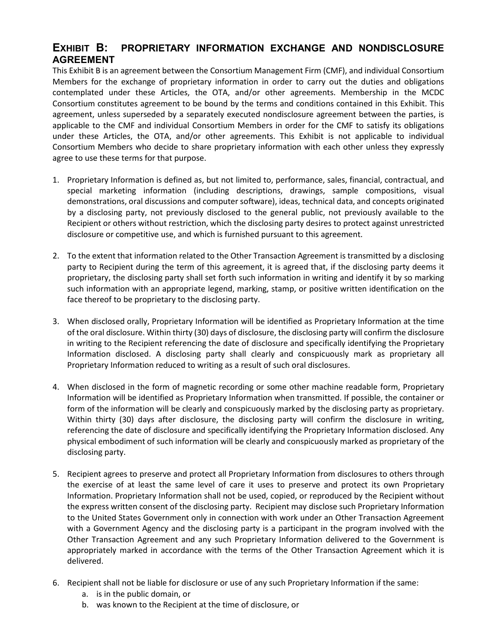## **EXHIBIT B: PROPRIETARY INFORMATION EXCHANGE AND NONDISCLOSURE AGREEMENT**

This Exhibit B is an agreement between the Consortium Management Firm (CMF), and individual Consortium Members for the exchange of proprietary information in order to carry out the duties and obligations contemplated under these Articles, the OTA, and/or other agreements. Membership in the MCDC Consortium constitutes agreement to be bound by the terms and conditions contained in this Exhibit. This agreement, unless superseded by a separately executed nondisclosure agreement between the parties, is applicable to the CMF and individual Consortium Members in order for the CMF to satisfy its obligations under these Articles, the OTA, and/or other agreements. This Exhibit is not applicable to individual Consortium Members who decide to share proprietary information with each other unless they expressly agree to use these terms for that purpose.

- 1. Proprietary Information is defined as, but not limited to, performance, sales, financial, contractual, and special marketing information (including descriptions, drawings, sample compositions, visual demonstrations, oral discussions and computer software), ideas, technical data, and concepts originated by a disclosing party, not previously disclosed to the general public, not previously available to the Recipient or others without restriction, which the disclosing party desires to protect against unrestricted disclosure or competitive use, and which is furnished pursuant to this agreement.
- 2. To the extent that information related to the Other Transaction Agreement is transmitted by a disclosing party to Recipient during the term of this agreement, it is agreed that, if the disclosing party deems it proprietary, the disclosing party shall set forth such information in writing and identify it by so marking such information with an appropriate legend, marking, stamp, or positive written identification on the face thereof to be proprietary to the disclosing party.
- 3. When disclosed orally, Proprietary Information will be identified as Proprietary Information at the time of the oral disclosure. Within thirty (30) days of disclosure, the disclosing party will confirm the disclosure in writing to the Recipient referencing the date of disclosure and specifically identifying the Proprietary Information disclosed. A disclosing party shall clearly and conspicuously mark as proprietary all Proprietary Information reduced to writing as a result of such oral disclosures.
- 4. When disclosed in the form of magnetic recording or some other machine readable form, Proprietary Information will be identified as Proprietary Information when transmitted. If possible, the container or form of the information will be clearly and conspicuously marked by the disclosing party as proprietary. Within thirty (30) days after disclosure, the disclosing party will confirm the disclosure in writing, referencing the date of disclosure and specifically identifying the Proprietary Information disclosed. Any physical embodiment of such information will be clearly and conspicuously marked as proprietary of the disclosing party.
- 5. Recipient agrees to preserve and protect all Proprietary Information from disclosures to others through the exercise of at least the same level of care it uses to preserve and protect its own Proprietary Information. Proprietary Information shall not be used, copied, or reproduced by the Recipient without the express written consent of the disclosing party. Recipient may disclose such Proprietary Information to the United States Government only in connection with work under an Other Transaction Agreement with a Government Agency and the disclosing party is a participant in the program involved with the Other Transaction Agreement and any such Proprietary Information delivered to the Government is appropriately marked in accordance with the terms of the Other Transaction Agreement which it is delivered.
- 6. Recipient shall not be liable for disclosure or use of any such Proprietary Information if the same:
	- a. is in the public domain, or
	- b. was known to the Recipient at the time of disclosure, or